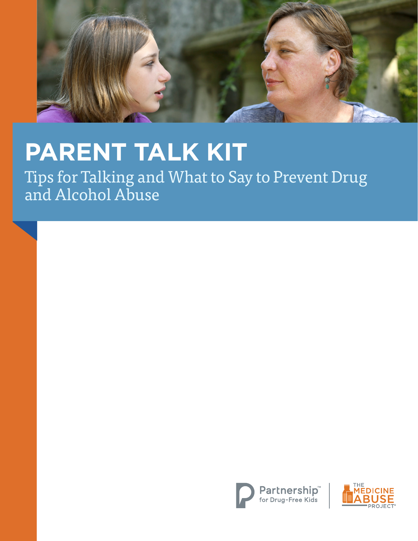

# **PARENT TALK KIT**

Tips for Talking and What to Say to Prevent Drug and Alcohol Abuse



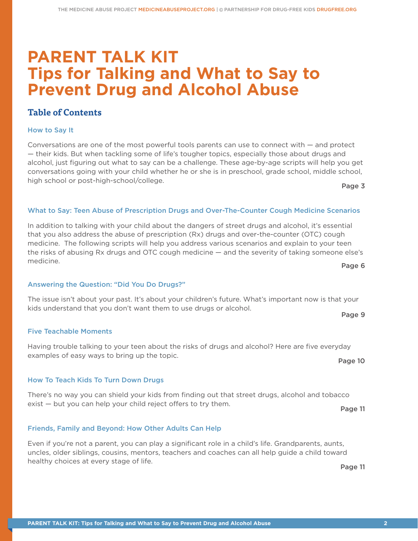## **PARENT TALK KIT Tips for Talking and What to Say to Prevent Drug and Alcohol Abuse**

### **Table of Contents**

### How to Say It

Conversations are one of the most powerful tools parents can use to connect with — and protect — their kids. But when tackling some of life's tougher topics, especially those about drugs and alcohol, just figuring out what to say can be a challenge. These age-by-age scripts will help you get conversations going with your child whether he or she is in preschool, grade school, middle school, high school or post-high-school/college.

Page 3

### What to Say: Teen Abuse of Prescription Drugs and Over-The-Counter Cough Medicine Scenarios

In addition to talking with your child about the dangers of street drugs and alcohol, it's essential that you also address the abuse of prescription (Rx) drugs and over-the-counter (OTC) cough medicine. The following scripts will help you address various scenarios and explain to your teen the risks of abusing Rx drugs and OTC cough medicine — and the severity of taking someone else's medicine. Page 6

### Answering the Question: "Did You Do Drugs?"

The issue isn't about your past. It's about your children's future. What's important now is that your kids understand that you don't want them to use drugs or alcohol. Page 9

### Five Teachable Moments

Having trouble talking to your teen about the risks of drugs and alcohol? Here are five everyday examples of easy ways to bring up the topic. Page 10

### How To Teach Kids To Turn Down Drugs

There's no way you can shield your kids from finding out that street drugs, alcohol and tobacco exist – but you can help your child reject offers to try them. Page 11

### Friends, Family and Beyond: How Other Adults Can Help

Even if you're not a parent, you can play a significant role in a child's life. Grandparents, aunts, uncles, older siblings, cousins, mentors, teachers and coaches can all help guide a child toward healthy choices at every stage of life.

Page 11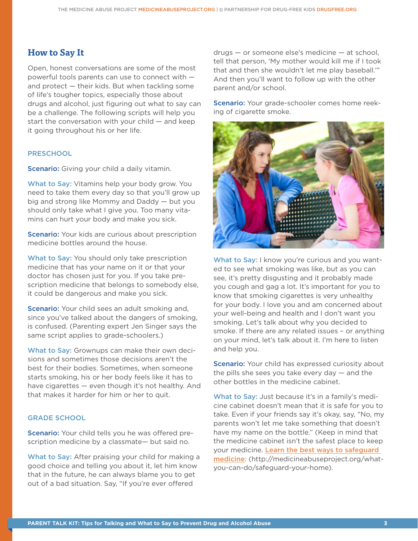### **How to Say It**

Open, honest conversations are some of the most powerful tools parents can use to connect with and protect — their kids. But when tackling some of life's tougher topics, especially those about drugs and alcohol, just figuring out what to say can be a challenge. The following scripts will help you start the conversation with your child  $-$  and keep it going throughout his or her life.

### **PRESCHOOL**

Scenario: Giving your child a daily vitamin.

What to Say: Vitamins help your body grow. You need to take them every day so that you'll grow up big and strong like Mommy and Daddy — but you should only take what I give you. Too many vitamins can hurt your body and make you sick.

**Scenario:** Your kids are curious about prescription medicine bottles around the house.

What to Say: You should only take prescription medicine that has your name on it or that your doctor has chosen just for you. If you take prescription medicine that belongs to somebody else, it could be dangerous and make you sick.

Scenario: Your child sees an adult smoking and, since you've talked about the dangers of smoking, is confused. (Parenting expert Jen Singer says the same script applies to grade-schoolers.)

What to Say: Grownups can make their own decisions and sometimes those decisions aren't the best for their bodies. Sometimes, when someone starts smoking, his or her body feels like it has to have cigarettes — even though it's not healthy. And that makes it harder for him or her to quit.

#### GRADE SCHOOL

Scenario: Your child tells you he was offered prescription medicine by a classmate— but said no.

What to Say: After praising your child for making a good choice and telling you about it, let him know that in the future, he can always blame you to get out of a bad situation. Say, "If you're ever offered

drugs — or someone else's medicine — at school, tell that person, 'My mother would kill me if I took that and then she wouldn't let me play baseball.'" And then you'll want to follow up with the other parent and/or school.

Scenario: Your grade-schooler comes home reeking of cigarette smoke.



What to Say: I know you're curious and you wanted to see what smoking was like, but as you can see, it's pretty disgusting and it probably made you cough and gag a lot. It's important for you to know that smoking cigarettes is very unhealthy for your body. I love you and am concerned about your well-being and health and I don't want you smoking. Let's talk about why you decided to smoke. If there are any related issues – or anything on your mind, let's talk about it. I'm here to listen and help you.

Scenario: Your child has expressed curiosity about the pills she sees you take every day  $-$  and the other bottles in the medicine cabinet.

What to Say: Just because it's in a family's medicine cabinet doesn't mean that it is safe for you to take. Even if your friends say it's okay, say, "No, my parents won't let me take something that doesn't have my name on the bottle." (Keep in mind that the medicine cabinet isn't the safest place to keep your medicine. Learn the best ways to safeguard medicine: (http://medicineabuseproject.org/whatyou-can-do/safeguard-your-home).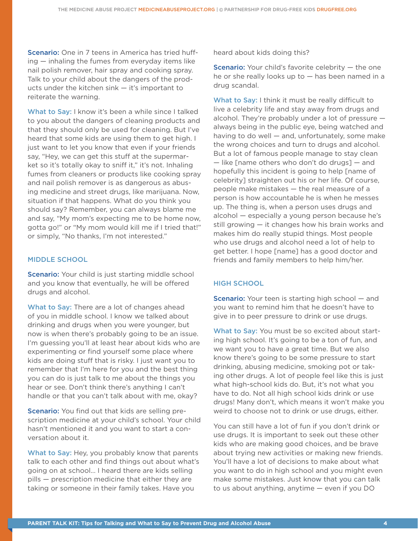Scenario: One in 7 teens in America has tried huffing — inhaling the fumes from everyday items like nail polish remover, hair spray and cooking spray. Talk to your child about the dangers of the products under the kitchen sink — it's important to reiterate the warning.

What to Say: I know it's been a while since I talked to you about the dangers of cleaning products and that they should only be used for cleaning. But I've heard that some kids are using them to get high. I just want to let you know that even if your friends say, "Hey, we can get this stuff at the supermarket so it's totally okay to sniff it," it's not. Inhaling fumes from cleaners or products like cooking spray and nail polish remover is as dangerous as abusing medicine and street drugs, like marijuana. Now, situation if that happens. What do you think you should say? Remember, you can always blame me and say, "My mom's expecting me to be home now, gotta go!" or "My mom would kill me if I tried that!" or simply, "No thanks, I'm not interested."

### MIDDLE SCHOOL

Scenario: Your child is just starting middle school and you know that eventually, he will be offered drugs and alcohol.

What to Say: There are a lot of changes ahead of you in middle school. I know we talked about drinking and drugs when you were younger, but now is when there's probably going to be an issue. I'm guessing you'll at least hear about kids who are experimenting or find yourself some place where kids are doing stuff that is risky. I just want you to remember that I'm here for you and the best thing you can do is just talk to me about the things you hear or see. Don't think there's anything I can't handle or that you can't talk about with me, okay?

**Scenario:** You find out that kids are selling prescription medicine at your child's school. Your child hasn't mentioned it and you want to start a conversation about it.

What to Say: Hey, you probably know that parents talk to each other and find things out about what's going on at school… I heard there are kids selling pills — prescription medicine that either they are taking or someone in their family takes. Have you

heard about kids doing this?

Scenario: Your child's favorite celebrity – the one he or she really looks up to  $-$  has been named in a drug scandal.

What to Say: I think it must be really difficult to live a celebrity life and stay away from drugs and alcohol. They're probably under a lot of pressure always being in the public eye, being watched and having to do well — and, unfortunately, some make the wrong choices and turn to drugs and alcohol. But a lot of famous people manage to stay clean — like [name others who don't do drugs] — and hopefully this incident is going to help [name of celebrity] straighten out his or her life. Of course, people make mistakes — the real measure of a person is how accountable he is when he messes up. The thing is, when a person uses drugs and alcohol — especially a young person because he's still growing — it changes how his brain works and makes him do really stupid things. Most people who use drugs and alcohol need a lot of help to get better. I hope [name] has a good doctor and friends and family members to help him/her.

### HIGH SCHOOL

**Scenario:** Your teen is starting high school – and you want to remind him that he doesn't have to give in to peer pressure to drink or use drugs.

What to Say: You must be so excited about starting high school. It's going to be a ton of fun, and we want you to have a great time. But we also know there's going to be some pressure to start drinking, abusing medicine, smoking pot or taking other drugs. A lot of people feel like this is just what high-school kids do. But, it's not what you have to do. Not all high school kids drink or use drugs! Many don't, which means it won't make you weird to choose not to drink or use drugs, either.

You can still have a lot of fun if you don't drink or use drugs. It is important to seek out these other kids who are making good choices, and be brave about trying new activities or making new friends. You'll have a lot of decisions to make about what you want to do in high school and you might even make some mistakes. Just know that you can talk to us about anything, anytime — even if you DO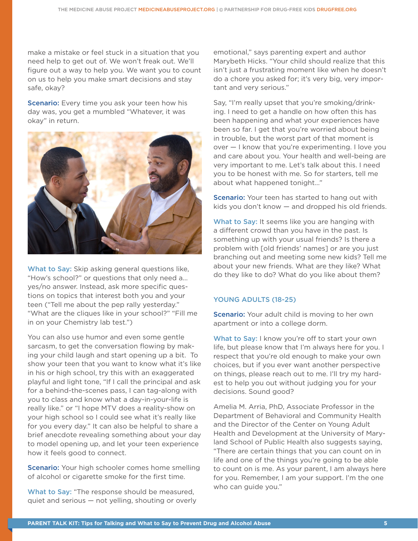make a mistake or feel stuck in a situation that you need help to get out of. We won't freak out. We'll figure out a way to help you. We want you to count on us to help you make smart decisions and stay safe, okay?

Scenario: Every time you ask your teen how his day was, you get a mumbled "Whatever, it was okay" in return.



What to Say: Skip asking general questions like, "How's school?" or questions that only need a... yes/no answer. Instead, ask more specific questions on topics that interest both you and your teen ("Tell me about the pep rally yesterday." "What are the cliques like in your school?" "Fill me in on your Chemistry lab test.")

You can also use humor and even some gentle sarcasm, to get the conversation flowing by making your child laugh and start opening up a bit. To show your teen that you want to know what it's like in his or high school, try this with an exaggerated playful and light tone, "If I call the principal and ask for a behind-the-scenes pass, I can tag-along with you to class and know what a day-in-your-life is really like." or "I hope MTV does a reality-show on your high school so I could see what it's really like for you every day." It can also be helpful to share a brief anecdote revealing something about your day to model opening up, and let your teen experience how it feels good to connect.

**Scenario:** Your high schooler comes home smelling of alcohol or cigarette smoke for the first time.

What to Say: "The response should be measured, quiet and serious — not yelling, shouting or overly emotional," says parenting expert and author Marybeth Hicks. "Your child should realize that this isn't just a frustrating moment like when he doesn't do a chore you asked for; it's very big, very important and very serious."

Say, "I'm really upset that you're smoking/drinking. I need to get a handle on how often this has been happening and what your experiences have been so far. I get that you're worried about being in trouble, but the worst part of that moment is over — I know that you're experimenting. I love you and care about you. Your health and well-being are very important to me. Let's talk about this. I need you to be honest with me. So for starters, tell me about what happened tonight…"

**Scenario:** Your teen has started to hang out with kids you don't know — and dropped his old friends.

What to Say: It seems like you are hanging with a different crowd than you have in the past. Is something up with your usual friends? Is there a problem with [old friends' names] or are you just branching out and meeting some new kids? Tell me about your new friends. What are they like? What do they like to do? What do you like about them?

### YOUNG ADULTS (18-25)

Scenario: Your adult child is moving to her own apartment or into a college dorm.

What to Say: I know you're off to start your own life, but please know that I'm always here for you. I respect that you're old enough to make your own choices, but if you ever want another perspective on things, please reach out to me. I'll try my hardest to help you out without judging you for your decisions. Sound good?

Amelia M. Arria, PhD, Associate Professor in the Department of Behavioral and Community Health and the Director of the Center on Young Adult Health and Development at the University of Maryland School of Public Health also suggests saying, "There are certain things that you can count on in life and one of the things you're going to be able to count on is me. As your parent, I am always here for you. Remember, I am your support. I'm the one who can guide you."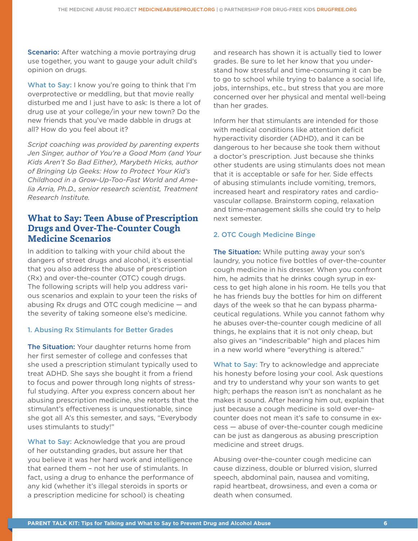Scenario: After watching a movie portraying drug use together, you want to gauge your adult child's opinion on drugs.

What to Say: I know you're going to think that I'm overprotective or meddling, but that movie really disturbed me and I just have to ask: Is there a lot of drug use at your college/in your new town? Do the new friends that you've made dabble in drugs at all? How do you feel about it?

*Script coaching was provided by parenting experts Jen Singer, author of You're a Good Mom (and Your Kids Aren't So Bad Either), Marybeth Hicks, author of Bringing Up Geeks: How to Protect Your Kid's Childhood in a Grow-Up-Too-Fast World and Amelia Arria, Ph.D., senior research scientist, Treatment Research Institute.*

### **What to Say: Teen Abuse of Prescription Drugs and Over-The-Counter Cough Medicine Scenarios**

In addition to talking with your child about the dangers of street drugs and alcohol, it's essential that you also address the abuse of prescription (Rx) and over-the-counter (OTC) cough drugs. The following scripts will help you address various scenarios and explain to your teen the risks of abusing Rx drugs and OTC cough medicine — and the severity of taking someone else's medicine.

### 1. Abusing Rx Stimulants for Better Grades

The Situation: Your daughter returns home from her first semester of college and confesses that she used a prescription stimulant typically used to treat ADHD. She says she bought it from a friend to focus and power through long nights of stressful studying. After you express concern about her abusing prescription medicine, she retorts that the stimulant's effectiveness is unquestionable, since she got all A's this semester, and says, "Everybody uses stimulants to study!"

What to Say: Acknowledge that you are proud of her outstanding grades, but assure her that you believe it was her hard work and intelligence that earned them – not her use of stimulants. In fact, using a drug to enhance the performance of any kid (whether it's illegal steroids in sports or a prescription medicine for school) is cheating

and research has shown it is actually tied to lower grades. Be sure to let her know that you understand how stressful and time-consuming it can be to go to school while trying to balance a social life, jobs, internships, etc., but stress that you are more concerned over her physical and mental well-being than her grades.

Inform her that stimulants are intended for those with medical conditions like attention deficit hyperactivity disorder (ADHD), and it can be dangerous to her because she took them without a doctor's prescription. Just because she thinks other students are using stimulants does not mean that it is acceptable or safe for her. Side effects of abusing stimulants include vomiting, tremors, increased heart and respiratory rates and cardiovascular collapse. Brainstorm coping, relaxation and time-management skills she could try to help next semester.

### 2. OTC Cough Medicine Binge

The Situation: While putting away your son's laundry, you notice five bottles of over-the-counter cough medicine in his dresser. When you confront him, he admits that he drinks cough syrup in excess to get high alone in his room. He tells you that he has friends buy the bottles for him on different days of the week so that he can bypass pharmaceutical regulations. While you cannot fathom why he abuses over-the-counter cough medicine of all things, he explains that it is not only cheap, but also gives an "indescribable" high and places him in a new world where "everything is altered."

What to Say: Try to acknowledge and appreciate his honesty before losing your cool. Ask questions and try to understand why your son wants to get high; perhaps the reason isn't as nonchalant as he makes it sound. After hearing him out, explain that just because a cough medicine is sold over-thecounter does not mean it's safe to consume in excess — abuse of over-the-counter cough medicine can be just as dangerous as abusing prescription medicine and street drugs.

Abusing over-the-counter cough medicine can cause dizziness, double or blurred vision, slurred speech, abdominal pain, nausea and vomiting, rapid heartbeat, drowsiness, and even a coma or death when consumed.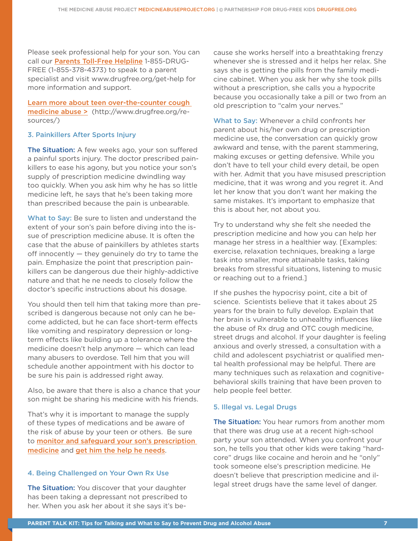Please seek professional help for your son. You can call our Parents Toll-Free Helpline 1-855-DRUG-FREE (1-855-378-4373) to speak to a parent specialist and visit www.drugfree.org/get-help for more information and support.

Learn more about teen over-the-counter cough medicine abuse > (http://www.drugfree.org/resources/)

### 3. Painkillers After Sports Injury

The Situation: A few weeks ago, your son suffered a painful sports injury. The doctor prescribed painkillers to ease his agony, but you notice your son's supply of prescription medicine dwindling way too quickly. When you ask him why he has so little medicine left, he says that he's been taking more than prescribed because the pain is unbearable.

What to Say: Be sure to listen and understand the extent of your son's pain before diving into the issue of prescription medicine abuse. It is often the case that the abuse of painkillers by athletes starts off innocently — they genuinely do try to tame the pain. Emphasize the point that prescription painkillers can be dangerous due their highly-addictive nature and that he ne needs to closely follow the doctor's specific instructions about his dosage.

You should then tell him that taking more than prescribed is dangerous because not only can he become addicted, but he can face short-term effects like vomiting and respiratory depression or longterm effects like building up a tolerance where the medicine doesn't help anymore — which can lead many abusers to overdose. Tell him that you will schedule another appointment with his doctor to be sure his pain is addressed right away.

Also, be aware that there is also a chance that your son might be sharing his medicine with his friends.

That's why it is important to manage the supply of these types of medications and be aware of the risk of abuse by your teen or others. Be sure to monitor and safeguard your son's prescription medicine and get him the help he needs.

### 4. Being Challenged on Your Own Rx Use

The Situation: You discover that your daughter has been taking a depressant not prescribed to her. When you ask her about it she says it's because she works herself into a breathtaking frenzy whenever she is stressed and it helps her relax. She says she is getting the pills from the family medicine cabinet. When you ask her why she took pills without a prescription, she calls you a hypocrite because you occasionally take a pill or two from an old prescription to "calm your nerves."

What to Say: Whenever a child confronts her parent about his/her own drug or prescription medicine use, the conversation can quickly grow awkward and tense, with the parent stammering, making excuses or getting defensive. While you don't have to tell your child every detail, be open with her. Admit that you have misused prescription medicine, that it was wrong and you regret it. And let her know that you don't want her making the same mistakes. It's important to emphasize that this is about her, not about you.

Try to understand why she felt she needed the prescription medicine and how you can help her manage her stress in a healthier way. [Examples: exercise, relaxation techniques, breaking a large task into smaller, more attainable tasks, taking breaks from stressful situations, listening to music or reaching out to a friend.]

If she pushes the hypocrisy point, cite a bit of science. Scientists believe that it takes about 25 years for the brain to fully develop. Explain that her brain is vulnerable to unhealthy influences like the abuse of Rx drug and OTC cough medicine, street drugs and alcohol. If your daughter is feeling anxious and overly stressed, a consultation with a child and adolescent psychiatrist or qualified mental health professional may be helpful. There are many techniques such as relaxation and cognitivebehavioral skills training that have been proven to help people feel better.

### 5. Illegal vs. Legal Drugs

The Situation: You hear rumors from another mom that there was drug use at a recent high-school party your son attended. When you confront your son, he tells you that other kids were taking "hardcore" drugs like cocaine and heroin and he "only" took someone else's prescription medicine. He doesn't believe that prescription medicine and illegal street drugs have the same level of danger.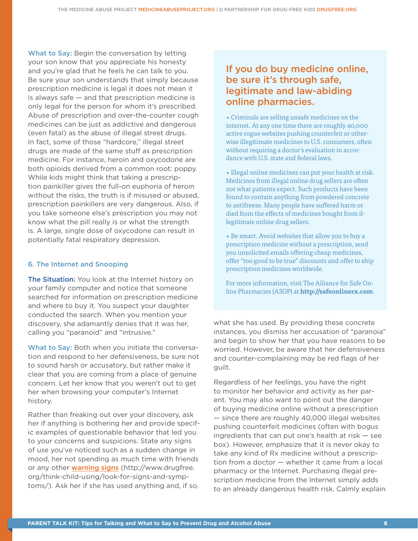What to Say: Begin the conversation by letting your son know that you appreciate his honesty and you're glad that he feels he can talk to you. Be sure your son understands that simply because prescription medicine is legal it does not mean it is always safe — and that prescription medicine is only legal for the person for whom it's prescribed. Abuse of prescription and over-the-counter cough medicines can be just as addictive and dangerous (even fatal) as the abuse of illegal street drugs. In fact, some of those "hardcore," illegal street drugs are made of the same stuff as prescription medicine. For instance, heroin and oxycodone are both opioids derived from a common root: poppy. While kids might think that taking a prescription painkiller gives the full-on euphoria of heroin without the risks, the truth is if misused or abused, prescription painkillers are very dangerous. Also, if you take someone else's prescription you may not know what the pill really is or what the strength is. A large, single dose of oxycodone can result in potentially fatal respiratory depression.

#### 6. The Internet and Snooping

The Situation: You look at the Internet history on your family computer and notice that someone searched for information on prescription medicine and where to buy it. You suspect your daughter conducted the search. When you mention your discovery, she adamantly denies that it was her, calling you "paranoid" and "intrusive."

What to Say: Both when you initiate the conversation and respond to her defensiveness, be sure not to sound harsh or accusatory, but rather make it clear that you are coming from a place of genuine concern. Let her know that you weren't out to get her when browsing your computer's Internet history.

Rather than freaking out over your discovery, ask her if anything is bothering her and provide specific examples of questionable behavior that led you to your concerns and suspicions. State any signs of use you've noticed such as a sudden change in mood, her not spending as much time with friends or any other warning signs (http://www.drugfree. org/think-child-using/look-for-signs-and-symptoms/). Ask her if she has used anything and, if so,

### If you do buy medicine online, be sure it's through safe, legitimate and law-abiding online pharmacies.

• Criminals are selling unsafe medicines on the internet. At any one time there are roughly 40,000 active rogue websites pushing counterfeit or otherwise illegitimate medicines to U.S. consumers, often without requiring a doctor's evaluation in accordance with U.S. state and federal laws.

• Illegal online medicines can put your health at risk. Medicines from illegal online drug sellers are often not what patients expect. Such products have been found to contain anything from powdered concrete to antifreeze. Many people have suffered harm or died from the effects of medicines bought from illegitimate online drug sellers.

• Be smart. Avoid websites that allow you to buy a prescription medicine without a prescription, send you unsolicited emails offering cheap medicines, offer "too good to be true" discounts and offer to ship prescription medicines worldwide.

For more information, visit The Alliance for Safe Online Pharmacies (ASOP) at **http://safeonlinerx.com**.

what she has used. By providing these concrete instances, you dismiss her accusation of "paranoia" and begin to show her that you have reasons to be worried. However, be aware that her defensiveness and counter-complaining may be red flags of her guilt.

Regardless of her feelings, you have the right to monitor her behavior and activity as her parent. You may also want to point out the danger of buying medicine online without a prescription — since there are roughly 40,000 illegal websites pushing counterfeit medicines (often with bogus ingredients that can put one's health at risk — see box). However, emphasize that it is never okay to take any kind of Rx medicine without a prescription from a doctor — whether it came from a local pharmacy or the Internet. Purchasing illegal prescription medicine from the Internet simply adds to an already dangerous health risk. Calmly explain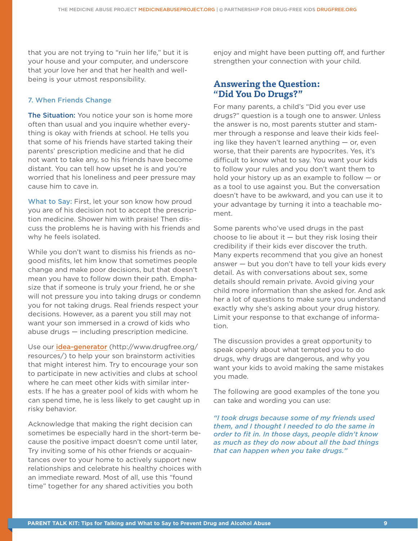that you are not trying to "ruin her life," but it is your house and your computer, and underscore that your love her and that her health and wellbeing is your utmost responsibility.

### 7. When Friends Change

The Situation: You notice your son is home more often than usual and you inquire whether everything is okay with friends at school. He tells you that some of his friends have started taking their parents' prescription medicine and that he did not want to take any, so his friends have become distant. You can tell how upset he is and you're worried that his loneliness and peer pressure may cause him to cave in.

What to Say: First, let your son know how proud you are of his decision not to accept the prescription medicine. Shower him with praise! Then discuss the problems he is having with his friends and why he feels isolated.

While you don't want to dismiss his friends as nogood misfits, let him know that sometimes people change and make poor decisions, but that doesn't mean you have to follow down their path. Emphasize that if someone is truly your friend, he or she will not pressure you into taking drugs or condemn you for not taking drugs. Real friends respect your decisions. However, as a parent you still may not want your son immersed in a crowd of kids who abuse drugs — including prescription medicine.

Use our idea-generator (http://www.drugfree.org/ resources/) to help your son brainstorm activities that might interest him. Try to encourage your son to participate in new activities and clubs at school where he can meet other kids with similar interests. If he has a greater pool of kids with whom he can spend time, he is less likely to get caught up in risky behavior.

Acknowledge that making the right decision can sometimes be especially hard in the short-term because the positive impact doesn't come until later, Try inviting some of his other friends or acquaintances over to your home to actively support new relationships and celebrate his healthy choices with an immediate reward. Most of all, use this "found time" together for any shared activities you both

enjoy and might have been putting off, and further strengthen your connection with your child.

### **Answering the Question: "Did You Do Drugs?"**

For many parents, a child's "Did you ever use drugs?" question is a tough one to answer. Unless the answer is no, most parents stutter and stammer through a response and leave their kids feeling like they haven't learned anything  $-$  or, even worse, that their parents are hypocrites. Yes, it's difficult to know what to say. You want your kids to follow your rules and you don't want them to hold your history up as an example to follow — or as a tool to use against you. But the conversation doesn't have to be awkward, and you can use it to your advantage by turning it into a teachable moment.

Some parents who've used drugs in the past choose to lie about it  $-$  but they risk losing their credibility if their kids ever discover the truth. Many experts recommend that you give an honest answer — but you don't have to tell your kids every detail. As with conversations about sex, some details should remain private. Avoid giving your child more information than she asked for. And ask her a lot of questions to make sure you understand exactly why she's asking about your drug history. Limit your response to that exchange of information.

The discussion provides a great opportunity to speak openly about what tempted you to do drugs, why drugs are dangerous, and why you want your kids to avoid making the same mistakes you made.

The following are good examples of the tone you can take and wording you can use:

*"I took drugs because some of my friends used them, and I thought I needed to do the same in order to fit in. In those days, people didn't know as much as they do now about all the bad things that can happen when you take drugs."*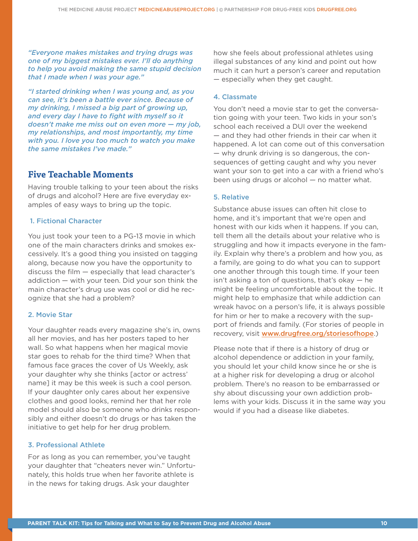*"Everyone makes mistakes and trying drugs was one of my biggest mistakes ever. I'll do anything to help you avoid making the same stupid decision that I made when I was your age."*

*"I started drinking when I was young and, as you can see, it's been a battle ever since. Because of my drinking, I missed a big part of growing up, and every day I have to fight with myself so it doesn't make me miss out on even more — my job, my relationships, and most importantly, my time with you. I love you too much to watch you make the same mistakes I've made."*

### **Five Teachable Moments**

Having trouble talking to your teen about the risks of drugs and alcohol? Here are five everyday examples of easy ways to bring up the topic.

### 1. Fictional Character

You just took your teen to a PG-13 movie in which one of the main characters drinks and smokes excessively. It's a good thing you insisted on tagging along, because now you have the opportunity to discuss the film — especially that lead character's addiction — with your teen. Did your son think the main character's drug use was cool or did he recognize that she had a problem?

#### 2. Movie Star

Your daughter reads every magazine she's in, owns all her movies, and has her posters taped to her wall. So what happens when her magical movie star goes to rehab for the third time? When that famous face graces the cover of Us Weekly, ask your daughter why she thinks [actor or actress' name] it may be this week is such a cool person. If your daughter only cares about her expensive clothes and good looks, remind her that her role model should also be someone who drinks responsibly and either doesn't do drugs or has taken the initiative to get help for her drug problem.

#### 3. Professional Athlete

For as long as you can remember, you've taught your daughter that "cheaters never win." Unfortunately, this holds true when her favorite athlete is in the news for taking drugs. Ask your daughter

how she feels about professional athletes using illegal substances of any kind and point out how much it can hurt a person's career and reputation — especially when they get caught.

#### 4. Classmate

You don't need a movie star to get the conversation going with your teen. Two kids in your son's school each received a DUI over the weekend — and they had other friends in their car when it happened. A lot can come out of this conversation — why drunk driving is so dangerous, the consequences of getting caught and why you never want your son to get into a car with a friend who's been using drugs or alcohol — no matter what.

### 5. Relative

Substance abuse issues can often hit close to home, and it's important that we're open and honest with our kids when it happens. If you can, tell them all the details about your relative who is struggling and how it impacts everyone in the family. Explain why there's a problem and how you, as a family, are going to do what you can to support one another through this tough time. If your teen isn't asking a ton of questions, that's okay — he might be feeling uncomfortable about the topic. It might help to emphasize that while addiction can wreak havoc on a person's life, it is always possible for him or her to make a recovery with the support of friends and family. (For stories of people in recovery, visit www.drugfree.org/storiesofhope.)

Please note that if there is a history of drug or alcohol dependence or addiction in your family, you should let your child know since he or she is at a higher risk for developing a drug or alcohol problem. There's no reason to be embarrassed or shy about discussing your own addiction problems with your kids. Discuss it in the same way you would if you had a disease like diabetes.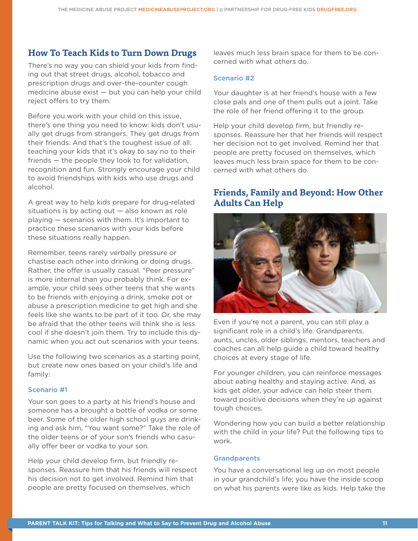### **How To Teach Kids to Turn Down Drugs**

There's no way you can shield your kids from finding out that street drugs, alcohol, tobacco and prescription drugs and over-the-counter cough medicine abuse exist — but you can help your child reject offers to try them.

Before you work with your child on this issue, there's one thing you need to know: kids don't usually get drugs from strangers. They get drugs from their friends. And that's the toughest issue of all: teaching your kids that it's okay to say no to their friends — the people they look to for validation, recognition and fun. Strongly encourage your child to avoid friendships with kids who use drugs and alcohol.

A great way to help kids prepare for drug-related situations is by acting out  $-$  also known as role playing — scenarios with them. It's important to practice these scenarios with your kids before these situations really happen.

Remember, teens rarely verbally pressure or chastise each other into drinking or doing drugs. Rather, the offer is usually casual. "Peer pressure" is more internal than you probably think. For example, your child sees other teens that she wants to be friends with enjoying a drink, smoke pot or abuse a prescription medicine to get high and she feels like she wants to be part of it too. Or, she may be afraid that the other teens will think she is less cool if she doesn't join them. Try to include this dynamic when you act out scenarios with your teens.

Use the following two scenarios as a starting point, but create new ones based on your child's life and family:

### Scenario #1

Your son goes to a party at his friend's house and someone has a brought a bottle of vodka or some beer. Some of the older high school guys are drinking and ask him, "You want some?" Take the role of the older teens or of your son's friends who casually offer beer or vodka to your son.

Help your child develop firm, but friendly responses. Reassure him that his friends will respect his decision not to get involved. Remind him that people are pretty focused on themselves, which

leaves much less brain space for them to be concerned with what others do.

### Scenario #2

Your daughter is at her friend's house with a few close pals and one of them pulls out a joint. Take the role of her friend offering it to the group.

Help your child develop firm, but friendly responses. Reassure her that her friends will respect her decision not to get involved. Remind her that people are pretty focused on themselves, which leaves much less brain space for them to be concerned with what others do.

### **Friends, Family and Beyond: How Other Adults Can Help**



Even if you're not a parent, you can still play a significant role in a child's life. Grandparents, aunts, uncles, older siblings, mentors, teachers and coaches can all help guide a child toward healthy choices at every stage of life.

For younger children, you can reinforce messages about eating healthy and staying active. And, as kids get older, your advice can help steer them toward positive decisions when they're up against tough choices.

Wondering how you can build a better relationship with the child in your life? Put the following tips to work.

### **Grandparents**

You have a conversational leg up on most people in your grandchild's life; you have the inside scoop on what his parents were like as kids. Help take the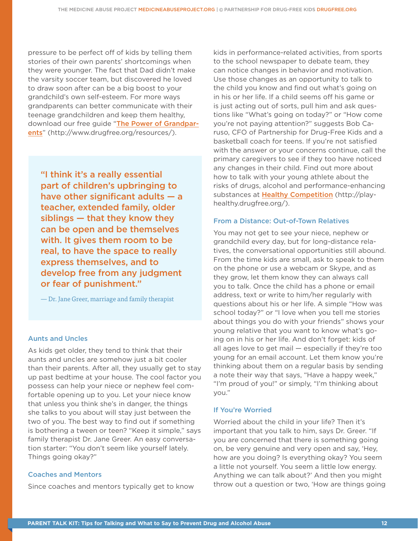pressure to be perfect off of kids by telling them stories of their own parents' shortcomings when they were younger. The fact that Dad didn't make the varsity soccer team, but discovered he loved to draw soon after can be a big boost to your grandchild's own self-esteem. For more ways grandparents can better communicate with their teenage grandchildren and keep them healthy, download our free guide "The Power of Grandparents" (http://www.drugfree.org/resources/).

"I think it's a really essential part of children's upbringing to have other significant adults  $-$  a teacher, extended family, older siblings — that they know they can be open and be themselves with. It gives them room to be real, to have the space to really express themselves, and to develop free from any judgment or fear of punishment."

— Dr. Jane Greer, marriage and family therapist

### Aunts and Uncles

As kids get older, they tend to think that their aunts and uncles are somehow just a bit cooler than their parents. After all, they usually get to stay up past bedtime at your house. The cool factor you possess can help your niece or nephew feel comfortable opening up to you. Let your niece know that unless you think she's in danger, the things she talks to you about will stay just between the two of you. The best way to find out if something is bothering a tween or teen? "Keep it simple," says family therapist Dr. Jane Greer. An easy conversation starter: "You don't seem like yourself lately. Things going okay?"

#### Coaches and Mentors

Since coaches and mentors typically get to know

kids in performance-related activities, from sports to the school newspaper to debate team, they can notice changes in behavior and motivation. Use those changes as an opportunity to talk to the child you know and find out what's going on in his or her life. If a child seems off his game or is just acting out of sorts, pull him and ask questions like "What's going on today?" or "How come you're not paying attention?" suggests Bob Caruso, CFO of Partnership for Drug-Free Kids and a basketball coach for teens. If you're not satisfied with the answer or your concerns continue, call the primary caregivers to see if they too have noticed any changes in their child. Find out more about how to talk with your young athlete about the risks of drugs, alcohol and performance-enhancing substances at Healthy Competition (http://playhealthy.drugfree.org/).

#### From a Distance: Out-of-Town Relatives

You may not get to see your niece, nephew or grandchild every day, but for long-distance relatives, the conversational opportunities still abound. From the time kids are small, ask to speak to them on the phone or use a webcam or Skype, and as they grow, let them know they can always call you to talk. Once the child has a phone or email address, text or write to him/her regularly with questions about his or her life. A simple "How was school today?" or "I love when you tell me stories about things you do with your friends" shows your young relative that you want to know what's going on in his or her life. And don't forget: kids of all ages love to get mail — especially if they're too young for an email account. Let them know you're thinking about them on a regular basis by sending a note their way that says, "Have a happy week," "I'm proud of you!" or simply, "I'm thinking about you."

#### If You're Worried

Worried about the child in your life? Then it's important that you talk to him, says Dr. Greer. "If you are concerned that there is something going on, be very genuine and very open and say, 'Hey, how are you doing? Is everything okay? You seem a little not yourself. You seem a little low energy. Anything we can talk about?' And then you might throw out a question or two, 'How are things going